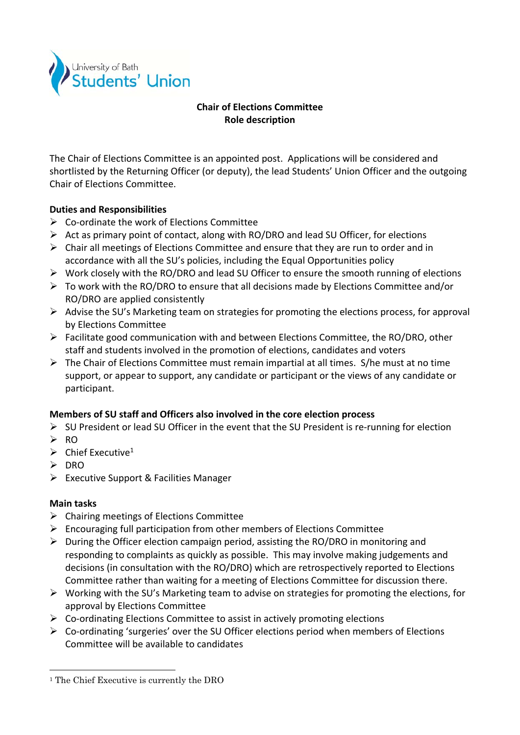

# **Chair of Elections Committee Role description**

The Chair of Elections Committee is an appointed post. Applications will be considered and shortlisted by the Returning Officer (or deputy), the lead Students' Union Officer and the outgoing Chair of Elections Committee.

## **Duties and Responsibilities**

- $\triangleright$  Co-ordinate the work of Elections Committee
- $\triangleright$  Act as primary point of contact, along with RO/DRO and lead SU Officer, for elections
- $\triangleright$  Chair all meetings of Elections Committee and ensure that they are run to order and in accordance with all the SU's policies, including the Equal Opportunities policy
- $\triangleright$  Work closely with the RO/DRO and lead SU Officer to ensure the smooth running of elections
- $\triangleright$  To work with the RO/DRO to ensure that all decisions made by Elections Committee and/or RO/DRO are applied consistently
- $\triangleright$  Advise the SU's Marketing team on strategies for promoting the elections process, for approval by Elections Committee
- $\triangleright$  Facilitate good communication with and between Elections Committee, the RO/DRO, other staff and students involved in the promotion of elections, candidates and voters
- $\triangleright$  The Chair of Elections Committee must remain impartial at all times. S/he must at no time support, or appear to support, any candidate or participant or the views of any candidate or participant.

### **Members of SU staff and Officers also involved in the core election process**

- SU President or lead SU Officer in the event that the SU President is re‐running for election
- $\triangleright$  RO
- $\triangleright$  Chief Executive<sup>1</sup>
- > DRO
- Executive Support & Facilities Manager

### **Main tasks**

 $\overline{a}$ 

- $\triangleright$  Chairing meetings of Elections Committee
- $\triangleright$  Encouraging full participation from other members of Elections Committee
- $\triangleright$  During the Officer election campaign period, assisting the RO/DRO in monitoring and responding to complaints as quickly as possible. This may involve making judgements and decisions (in consultation with the RO/DRO) which are retrospectively reported to Elections Committee rather than waiting for a meeting of Elections Committee for discussion there.
- $\triangleright$  Working with the SU's Marketing team to advise on strategies for promoting the elections, for approval by Elections Committee
- $\triangleright$  Co-ordinating Elections Committee to assist in actively promoting elections
- $\triangleright$  Co-ordinating 'surgeries' over the SU Officer elections period when members of Elections Committee will be available to candidates

<sup>&</sup>lt;sup>1</sup> The Chief Executive is currently the DRO